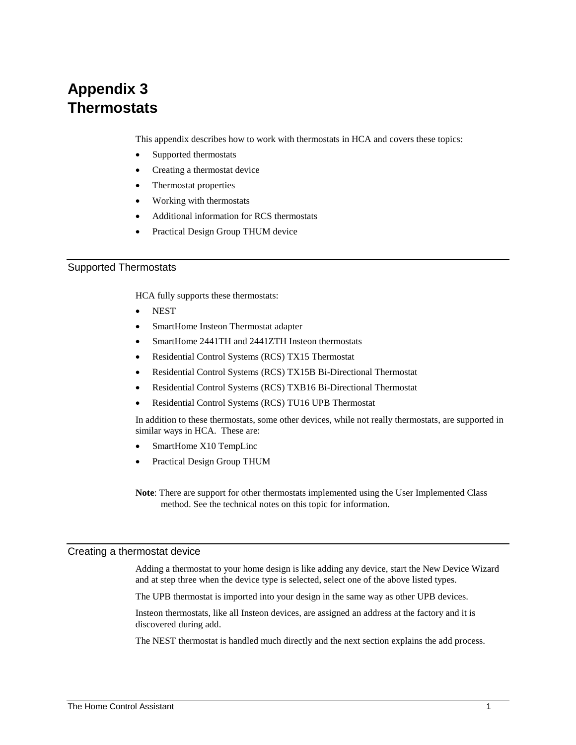# **Appendix 3 Thermostats**

This appendix describes how to work with thermostats in HCA and covers these topics:

- Supported thermostats
- Creating a thermostat device
- Thermostat properties
- Working with thermostats
- Additional information for RCS thermostats
- Practical Design Group THUM device

## Supported Thermostats

HCA fully supports these thermostats:

- **NEST**
- SmartHome Insteon Thermostat adapter
- SmartHome 2441TH and 2441ZTH Insteon thermostats
- Residential Control Systems (RCS) TX15 Thermostat
- Residential Control Systems (RCS) TX15B Bi-Directional Thermostat
- Residential Control Systems (RCS) TXB16 Bi-Directional Thermostat
- Residential Control Systems (RCS) TU16 UPB Thermostat

In addition to these thermostats, some other devices, while not really thermostats, are supported in similar ways in HCA. These are:

- SmartHome X10 TempLinc
- Practical Design Group THUM

**Note**: There are support for other thermostats implemented using the User Implemented Class method. See the technical notes on this topic for information.

#### Creating a thermostat device

Adding a thermostat to your home design is like adding any device, start the New Device Wizard and at step three when the device type is selected, select one of the above listed types.

The UPB thermostat is imported into your design in the same way as other UPB devices.

Insteon thermostats, like all Insteon devices, are assigned an address at the factory and it is discovered during add.

The NEST thermostat is handled much directly and the next section explains the add process.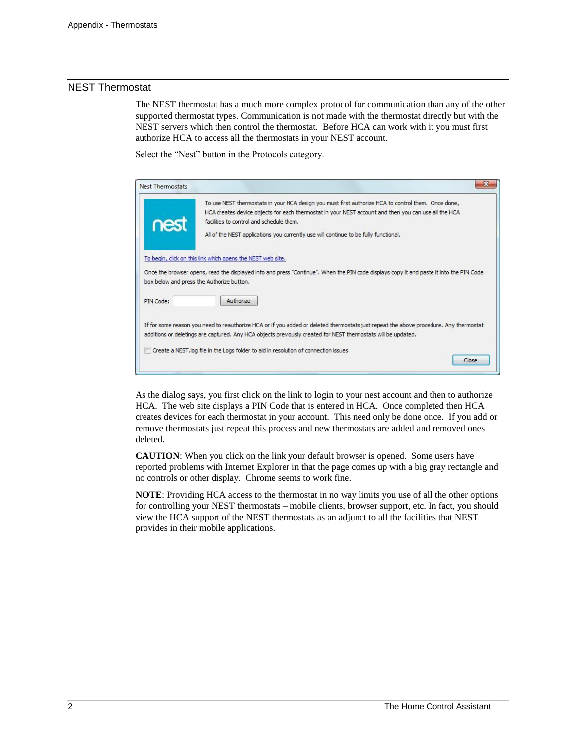# NEST Thermostat

The NEST thermostat has a much more complex protocol for communication than any of the other supported thermostat types. Communication is not made with the thermostat directly but with the NEST servers which then control the thermostat. Before HCA can work with it you must first authorize HCA to access all the thermostats in your NEST account.

Select the "Nest" button in the Protocols category.

| <b>Nest Thermostats</b> |                                                                                                                                                                                                                                                                                                                                                 |
|-------------------------|-------------------------------------------------------------------------------------------------------------------------------------------------------------------------------------------------------------------------------------------------------------------------------------------------------------------------------------------------|
| nest                    | To use NEST thermostats in your HCA design you must first authorize HCA to control them. Once done,<br>HCA creates device objects for each thermostat in your NEST account and then you can use all the HCA<br>facilities to control and schedule them.<br>All of the NEST applications you currently use will continue to be fully functional. |
|                         | To begin, click on this link which opens the NEST web site.<br>Once the browser opens, read the displayed info and press "Continue". When the PIN code displays copy it and paste it into the PIN Code<br>box below and press the Authorize button.                                                                                             |
| PIN Code:               | Authorize<br>If for some reason you need to reauthorize HCA or if you added or deleted thermostats just repeat the above procedure. Any thermostat                                                                                                                                                                                              |
|                         | additions or deletings are captured. Any HCA objects previously created for NEST thermostats will be updated.<br>Create a NEST.log file in the Logs folder to aid in resolution of connection issues<br>Close                                                                                                                                   |

As the dialog says, you first click on the link to login to your nest account and then to authorize HCA. The web site displays a PIN Code that is entered in HCA. Once completed then HCA creates devices for each thermostat in your account. This need only be done once. If you add or remove thermostats just repeat this process and new thermostats are added and removed ones deleted.

**CAUTION**: When you click on the link your default browser is opened. Some users have reported problems with Internet Explorer in that the page comes up with a big gray rectangle and no controls or other display. Chrome seems to work fine.

**NOTE**: Providing HCA access to the thermostat in no way limits you use of all the other options for controlling your NEST thermostats – mobile clients, browser support, etc. In fact, you should view the HCA support of the NEST thermostats as an adjunct to all the facilities that NEST provides in their mobile applications.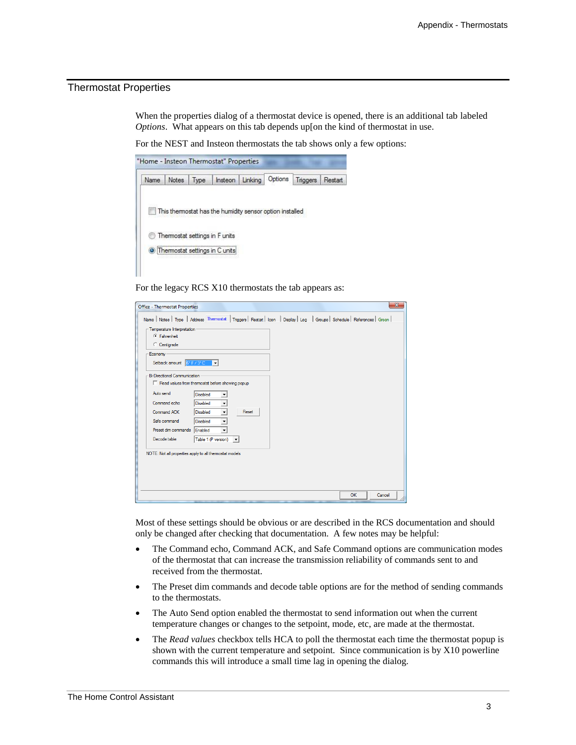# Thermostat Properties

When the properties dialog of a thermostat device is opened, there is an additional tab labeled *Options*. What appears on this tab depends up[on the kind of thermostat in use.

For the NEST and Insteon thermostats the tab shows only a few options:



For the legacy RCS X10 thermostats the tab appears as:

| <b>Office - Thermostat Properties</b>                                                                                         |    | $\mathbf{x}$ |
|-------------------------------------------------------------------------------------------------------------------------------|----|--------------|
| Name   Notes   Type   Address Thermostat   Triggers   Restart   Icon   Display   Log   Groups   Schedule   References   Green |    |              |
| Temperature Interpretation                                                                                                    |    |              |
| $C$ Fahrenheit                                                                                                                |    |              |
| C Centigrade                                                                                                                  |    |              |
| Economy-                                                                                                                      |    |              |
| Setback amount $6° F / 3° C = \n\nabla$                                                                                       |    |              |
| <b>Bi-Directional Communication</b>                                                                                           |    |              |
| F Read values from themostat before showing popup                                                                             |    |              |
| Auto send<br><b>Disabled</b>                                                                                                  |    |              |
| Command echo<br><b>Disabled</b><br>٠                                                                                          |    |              |
| Reset<br>Command ACK<br><b>Disabled</b><br>٠                                                                                  |    |              |
| Safe command<br><b>Disabled</b><br>٠                                                                                          |    |              |
| Preset dim commands<br>Enabled<br>÷                                                                                           |    |              |
| Decode table<br>Table 1 (P version) $\blacktriangledown$                                                                      |    |              |
| NOTE: Not all properties apply to all thermostat models                                                                       |    |              |
|                                                                                                                               |    |              |
|                                                                                                                               |    |              |
|                                                                                                                               |    |              |
|                                                                                                                               |    |              |
|                                                                                                                               | OK | Cancel       |

Most of these settings should be obvious or are described in the RCS documentation and should only be changed after checking that documentation. A few notes may be helpful:

- The Command echo, Command ACK, and Safe Command options are communication modes of the thermostat that can increase the transmission reliability of commands sent to and received from the thermostat.
- The Preset dim commands and decode table options are for the method of sending commands to the thermostats.
- The Auto Send option enabled the thermostat to send information out when the current temperature changes or changes to the setpoint, mode, etc, are made at the thermostat.
- The *Read values* checkbox tells HCA to poll the thermostat each time the thermostat popup is shown with the current temperature and setpoint. Since communication is by X10 powerline commands this will introduce a small time lag in opening the dialog.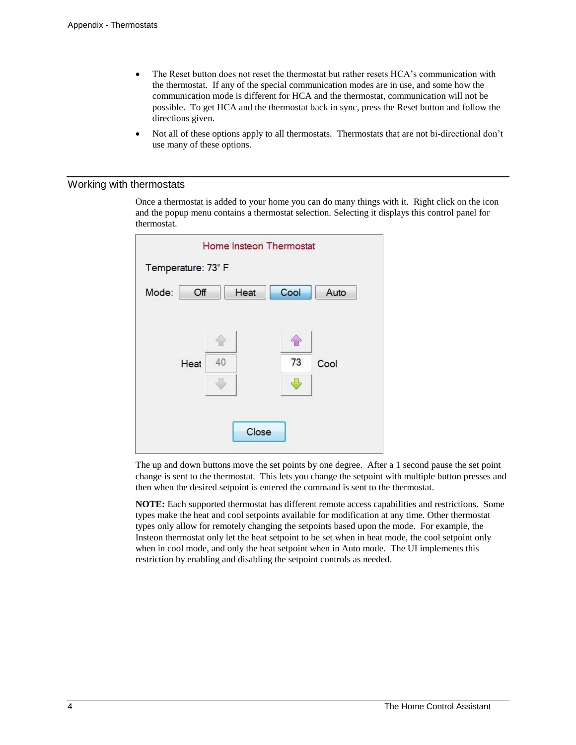- The Reset button does not reset the thermostat but rather resets HCA's communication with the thermostat. If any of the special communication modes are in use, and some how the communication mode is different for HCA and the thermostat, communication will not be possible. To get HCA and the thermostat back in sync, press the Reset button and follow the directions given.
- Not all of these options apply to all thermostats. Thermostats that are not bi-directional don't use many of these options.

### Working with thermostats

Once a thermostat is added to your home you can do many things with it. Right click on the icon and the popup menu contains a thermostat selection. Selecting it displays this control panel for thermostat.

| Home Insteon Thermostat |    |      |      |      |
|-------------------------|----|------|------|------|
| Temperature: 73°F       |    |      |      |      |
| Mode:<br>Off            |    | Heat | Cool | Auto |
|                         |    |      |      |      |
|                         |    |      |      |      |
| Heat                    | 40 |      | 73   | Cool |
|                         |    |      |      |      |
|                         |    |      |      |      |
| Close                   |    |      |      |      |
|                         |    |      |      |      |

The up and down buttons move the set points by one degree. After a 1 second pause the set point change is sent to the thermostat. This lets you change the setpoint with multiple button presses and then when the desired setpoint is entered the command is sent to the thermostat.

**NOTE:** Each supported thermostat has different remote access capabilities and restrictions. Some types make the heat and cool setpoints available for modification at any time. Other thermostat types only allow for remotely changing the setpoints based upon the mode. For example, the Insteon thermostat only let the heat setpoint to be set when in heat mode, the cool setpoint only when in cool mode, and only the heat setpoint when in Auto mode. The UI implements this restriction by enabling and disabling the setpoint controls as needed.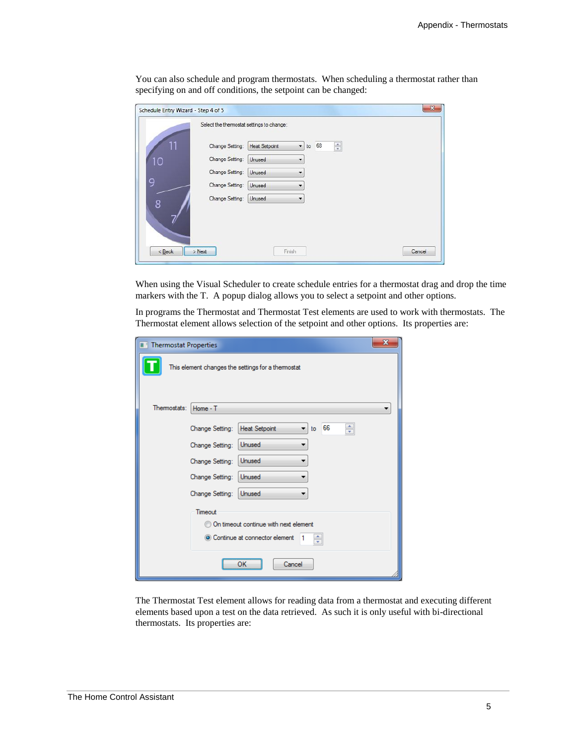You can also schedule and program thermostats. When scheduling a thermostat rather than specifying on and off conditions, the setpoint can be changed:

| Schedule Entry Wizard - Step 4 of 5       |                                                                                   | $\mathbf{X}$ |
|-------------------------------------------|-----------------------------------------------------------------------------------|--------------|
| Select the thermostat settings to change: |                                                                                   |              |
| Change Setting:                           | $\frac{\star}{\star}$<br>68<br><b>Heat Setpoint</b><br>$\blacktriangledown$<br>to |              |
| Change Setting:<br>10                     | Unused                                                                            |              |
| Change Setting:                           | Unused<br>▼                                                                       |              |
| 9<br>Change Setting:                      | Unused                                                                            |              |
| Change Setting:<br>8                      | Unused<br>▼                                                                       |              |
| < Back<br>$>$ Next                        | Cancel<br>Finish                                                                  |              |

When using the Visual Scheduler to create schedule entries for a thermostat drag and drop the time markers with the T. A popup dialog allows you to select a setpoint and other options.

In programs the Thermostat and Thermostat Test elements are used to work with thermostats. The Thermostat element allows selection of the setpoint and other options. Its properties are:

| X<br><b>Thermostat Properties</b>       |                                                                |  |  |
|-----------------------------------------|----------------------------------------------------------------|--|--|
|                                         | This element changes the settings for a themostat              |  |  |
| Themostats:                             | Home - T                                                       |  |  |
|                                         | 66<br>÷<br><b>Heat Setpoint</b><br>Change Setting:<br>to<br>۰. |  |  |
|                                         | Unused<br>Change Setting:                                      |  |  |
|                                         | Unused<br>Change Setting:                                      |  |  |
|                                         | Change Setting:<br>Unused                                      |  |  |
|                                         | Change Setting:<br>Unused                                      |  |  |
| Timeout                                 |                                                                |  |  |
| On timeout continue with next element   |                                                                |  |  |
| Continue at connector element<br>÷<br>1 |                                                                |  |  |
| Cancel<br>ок                            |                                                                |  |  |

The Thermostat Test element allows for reading data from a thermostat and executing different elements based upon a test on the data retrieved. As such it is only useful with bi-directional thermostats. Its properties are: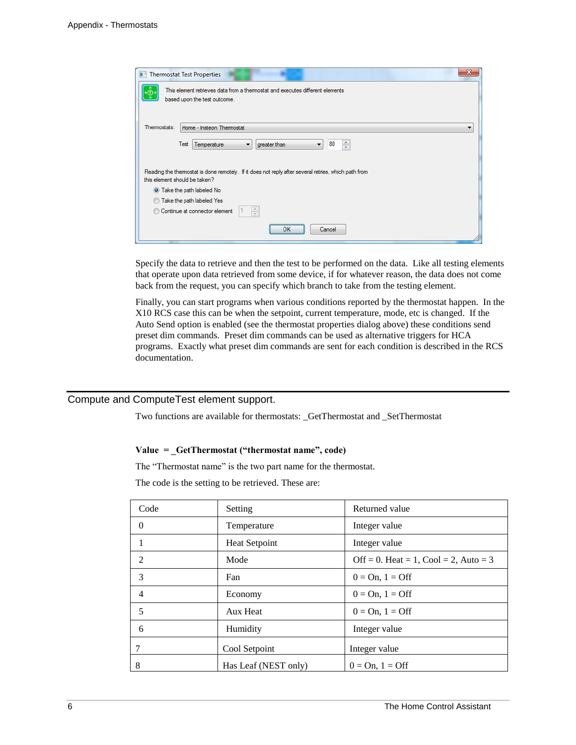| <b>Thermostat Test Properties</b>                                                                                                     | X                        |
|---------------------------------------------------------------------------------------------------------------------------------------|--------------------------|
| This element retrieves data from a thermostat and executes different elements<br>based upon the test outcome.                         |                          |
|                                                                                                                                       |                          |
| Themostats:<br>Home - Insteon Thermostat                                                                                              | $\overline{\phantom{a}}$ |
| 80<br>$\frac{1}{x}$<br>Test<br>$\overline{\phantom{a}}$<br>Temperature<br>greater than<br>$\blacktriangledown$                        |                          |
|                                                                                                                                       |                          |
| Reading the thermostat is done remotely. If it does not reply after several retries, which path from<br>this element should be taken? |                          |
| O Take the path labeled No                                                                                                            |                          |
| Take the path labeled Yes<br>$\circ$                                                                                                  |                          |
| Continue at connector element                                                                                                         |                          |
| <br>Cancel<br>ОК                                                                                                                      |                          |
|                                                                                                                                       |                          |

Specify the data to retrieve and then the test to be performed on the data. Like all testing elements that operate upon data retrieved from some device, if for whatever reason, the data does not come back from the request, you can specify which branch to take from the testing element.

Finally, you can start programs when various conditions reported by the thermostat happen. In the X10 RCS case this can be when the setpoint, current temperature, mode, etc is changed. If the Auto Send option is enabled (see the thermostat properties dialog above) these conditions send preset dim commands. Preset dim commands can be used as alternative triggers for HCA programs. Exactly what preset dim commands are sent for each condition is described in the RCS documentation.

# Compute and ComputeTest element support.

Two functions are available for thermostats: \_GetThermostat and \_SetThermostat

#### **Value = \_GetThermostat ("thermostat name", code)**

The "Thermostat name" is the two part name for the thermostat.

The code is the setting to be retrieved. These are:

| Code     | Setting              | Returned value                        |
|----------|----------------------|---------------------------------------|
| $\Omega$ | Temperature          | Integer value                         |
|          | Heat Setpoint        | Integer value                         |
| 2        | Mode                 | Off = 0. Heat = 1, Cool = 2, Auto = 3 |
| 3        | Fan                  | $0 = On, 1 = Off$                     |
| 4        | Economy              | $0 = On, 1 = Off$                     |
| 5        | Aux Heat             | $0 = On, 1 = Off$                     |
| 6        | Humidity             | Integer value                         |
| 7        | Cool Setpoint        | Integer value                         |
| 8        | Has Leaf (NEST only) | $0 = On, 1 = Off$                     |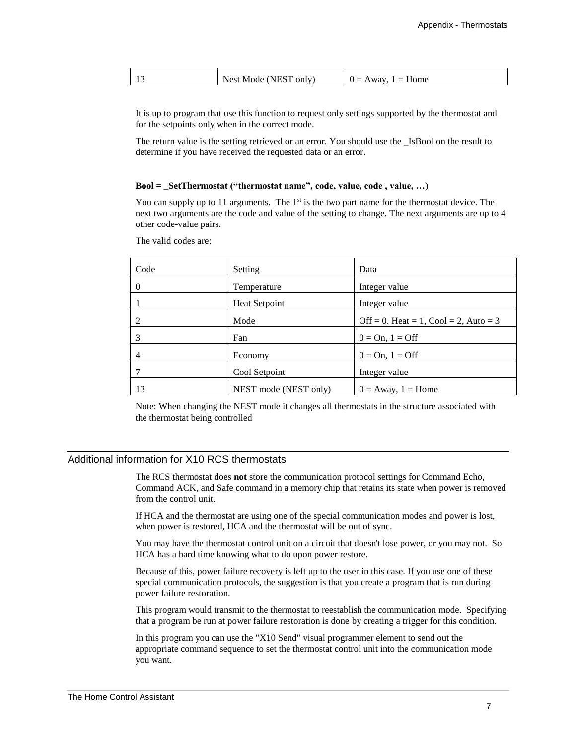| . . | Nact<br>N<br>only.<br>$\mathbf{u}$<br>nde :<br>N<br>ᆚ | .ome |
|-----|-------------------------------------------------------|------|
|     |                                                       |      |

It is up to program that use this function to request only settings supported by the thermostat and for the setpoints only when in the correct mode.

The return value is the setting retrieved or an error. You should use the \_IsBool on the result to determine if you have received the requested data or an error.

#### **Bool = \_SetThermostat ("thermostat name", code, value, code , value, …)**

You can supply up to 11 arguments. The  $1<sup>st</sup>$  is the two part name for the thermostat device. The next two arguments are the code and value of the setting to change. The next arguments are up to 4 other code-value pairs.

The valid codes are:

| Code           | Setting               | Data                                  |
|----------------|-----------------------|---------------------------------------|
| $\Omega$       | Temperature           | Integer value                         |
|                | <b>Heat Setpoint</b>  | Integer value                         |
| 2              | Mode                  | Off = 0. Heat = 1, Cool = 2, Auto = 3 |
| 3              | Fan                   | $0 = On, 1 = Off$                     |
| $\overline{4}$ | Economy               | $0 = On, 1 = Off$                     |
|                | Cool Setpoint         | Integer value                         |
| 13             | NEST mode (NEST only) | $0 =$ Away, $1 =$ Home                |

Note: When changing the NEST mode it changes all thermostats in the structure associated with the thermostat being controlled

# Additional information for X10 RCS thermostats

The RCS thermostat does **not** store the communication protocol settings for Command Echo, Command ACK, and Safe command in a memory chip that retains its state when power is removed from the control unit.

If HCA and the thermostat are using one of the special communication modes and power is lost, when power is restored, HCA and the thermostat will be out of sync.

You may have the thermostat control unit on a circuit that doesn't lose power, or you may not. So HCA has a hard time knowing what to do upon power restore.

Because of this, power failure recovery is left up to the user in this case. If you use one of these special communication protocols, the suggestion is that you create a program that is run during power failure restoration.

This program would transmit to the thermostat to reestablish the communication mode. Specifying that a program be run at power failure restoration is done by creating a trigger for this condition.

In this program you can use the "X10 Send" visual programmer element to send out the appropriate command sequence to set the thermostat control unit into the communication mode you want.